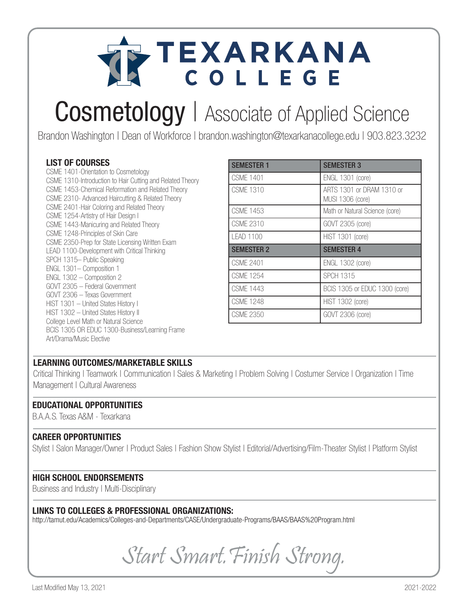

## Cosmetology | Associate of Applied Science

Brandon Washington | Dean of Workforce | brandon.washington@texarkanacollege.edu | 903.823.3232

#### LIST OF COURSES

CSME 1401-Orientation to Cosmetology CSME 1310-Introduction to Hair Cutting and Related Theory CSME 1453-Chemical Reformation and Related Theory CSME 2310- Advanced Haircutting & Related Theory CSME 2401-Hair Coloring and Related Theory CSME 1254-Artistry of Hair Design I CSME 1443-Manicuring and Related Theory CSME 1248-Principles of Skin Care CSME 2350-Prep for State Licensing Written Exam LEAD 1100-Development with Critical Thinking SPCH 1315– Public Speaking ENGL 1301– Composition 1 ENGL 1302 – Composition 2 GOVT 2305 – Federal Government GOVT 2306 – Texas Government HIST 1301 – United States History I HIST 1302 – United States History II College Level Math or Natural Science BCIS 1305 OR EDUC 1300-Business/Learning Frame Art/Drama/Music Elective

| <b>SEMESTER 1</b> | <b>SEMESTER 3</b>                             |
|-------------------|-----------------------------------------------|
| <b>CSMF 1401</b>  | <b>ENGL 1301 (core)</b>                       |
| CSMF 1310         | ARTS 1301 or DRAM 1310 or<br>MUSI 1306 (core) |
| CSMF 1453         | Math or Natural Science (core)                |
| CSMF 2310         | GOVT 2305 (core)                              |
| LEAD 1100         | <b>HIST 1301 (core)</b>                       |
| <b>SEMESTER 2</b> | <b>SEMESTER 4</b>                             |
| <b>CSMF 2401</b>  | <b>ENGL 1302 (core)</b>                       |
| <b>CSME 1254</b>  | <b>SPCH 1315</b>                              |
| CSMF 1443         | BCIS 1305 or EDUC 1300 (core)                 |
| <b>CSMF 1248</b>  | <b>HIST 1302 (core)</b>                       |
| CSMF 2350         | GOVT 2306 (core)                              |

#### LEARNING OUTCOMES/MARKETABLE SKILLS

Critical Thinking | Teamwork | Communication | Sales & Marketing | Problem Solving | Costumer Service | Organization | Time Management | Cultural Awareness

#### EDUCATIONAL OPPORTUNITIES

B.A.A.S. Texas A&M - Texarkana

#### CAREER OPPORTUNITIES

Stylist | Salon Manager/Owner | Product Sales | Fashion Show Stylist | Editorial/Advertising/Film-Theater Stylist | Platform Stylist

#### HIGH SCHOOL ENDORSEMENTS

Business and Industry | Multi-Disciplinary

#### LINKS TO COLLEGES & PROFESSIONAL ORGANIZATIONS:

http://tamut.edu/Academics/Colleges-and-Departments/CASE/Undergraduate-Programs/BAAS/BAAS%20Program.html

Start Smart.Finish Strong.